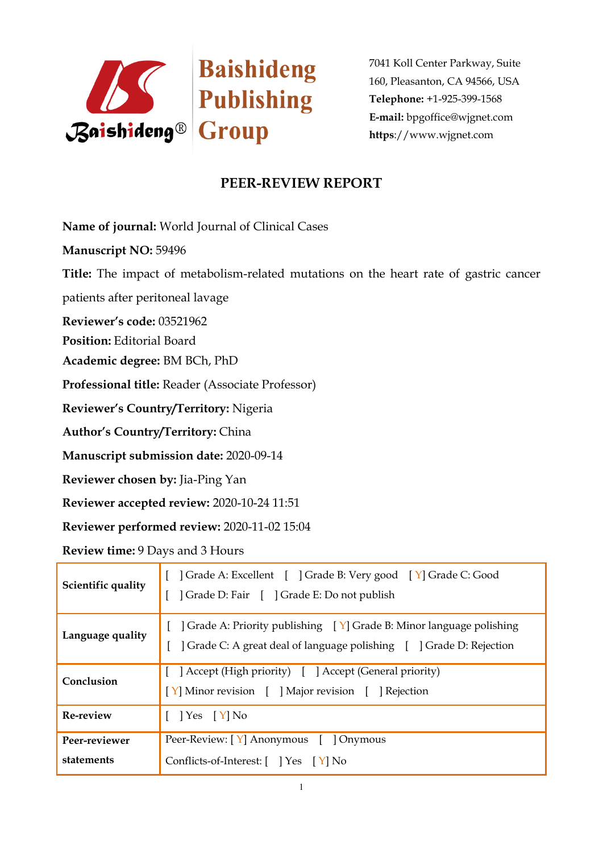

7041 Koll Center Parkway, Suite 160, Pleasanton, CA 94566, USA **Telephone:** +1-925-399-1568 **E-mail:** bpgoffice@wjgnet.com **https**://www.wjgnet.com

## **PEER-REVIEW REPORT**

**Name of journal:** World Journal of Clinical Cases

**Manuscript NO:** 59496

**Title:** The impact of metabolism-related mutations on the heart rate of gastric cancer

patients after peritoneal lavage

**Reviewer's code:** 03521962

**Position:** Editorial Board

**Academic degree:** BM BCh, PhD

**Professional title:** Reader (Associate Professor)

**Reviewer's Country/Territory:** Nigeria

**Author's Country/Territory:** China

**Manuscript submission date:** 2020-09-14

**Reviewer chosen by:** Jia-Ping Yan

**Reviewer accepted review:** 2020-10-24 11:51

**Reviewer performed review:** 2020-11-02 15:04

**Review time:** 9 Days and 3 Hours

| Scientific quality          | [ ] Grade A: Excellent [ ] Grade B: Very good [ Y] Grade C: Good<br>] Grade D: Fair [ ] Grade E: Do not publish                                                       |
|-----------------------------|-----------------------------------------------------------------------------------------------------------------------------------------------------------------------|
| Language quality            | [ $\int$ Grade A: Priority publishing $\left[\gamma\right]$ Grade B: Minor language polishing<br>] Grade C: A great deal of language polishing [ ] Grade D: Rejection |
| Conclusion                  | [ ] Accept (High priority) [ ] Accept (General priority)<br>[Y] Minor revision [ ] Major revision [ ] Rejection                                                       |
| Re-review                   | $[$   Yes $[Y]$ No                                                                                                                                                    |
| Peer-reviewer<br>statements | Peer-Review: [Y] Anonymous [ ] Onymous<br>Conflicts-of-Interest: [ ] Yes [Y] No                                                                                       |